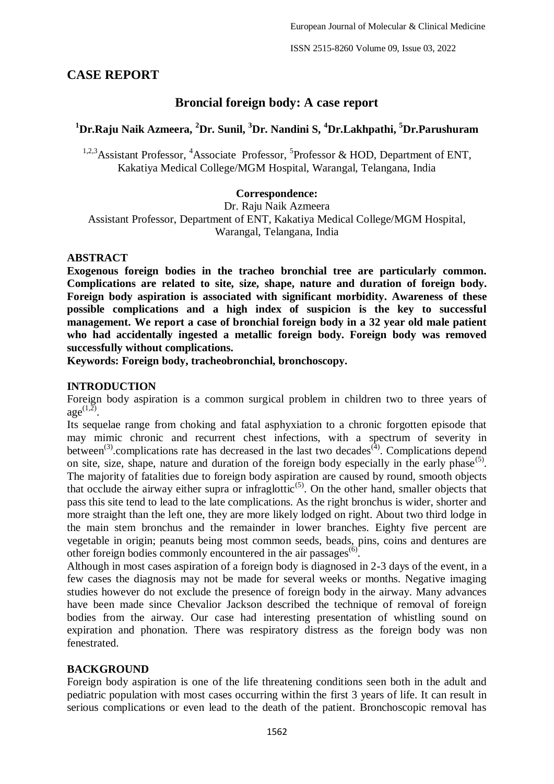ISSN 2515-8260 Volume 09, Issue 03, 2022

## **CASE REPORT**

## **Broncial foreign body: A case report**

# **<sup>1</sup>Dr.Raju Naik Azmeera, <sup>2</sup>Dr. Sunil, <sup>3</sup>Dr. Nandini S, <sup>4</sup>Dr.Lakhpathi, <sup>5</sup>Dr.Parushuram**

<sup>1,2,3</sup>Assistant Professor, <sup>4</sup>Associate Professor, <sup>5</sup>Professor & HOD, Department of ENT, Kakatiya Medical College/MGM Hospital, Warangal, Telangana, India

### **Correspondence:**

Dr. Raju Naik Azmeera Assistant Professor, Department of ENT, Kakatiya Medical College/MGM Hospital, Warangal, Telangana, India

#### **ABSTRACT**

**Exogenous foreign bodies in the tracheo bronchial tree are particularly common. Complications are related to site, size, shape, nature and duration of foreign body. Foreign body aspiration is associated with significant morbidity. Awareness of these possible complications and a high index of suspicion is the key to successful management. We report a case of bronchial foreign body in a 32 year old male patient who had accidentally ingested a metallic foreign body. Foreign body was removed successfully without complications.** 

**Keywords: Foreign body, tracheobronchial, bronchoscopy.**

#### **INTRODUCTION**

Foreign body aspiration is a common surgical problem in children two to three years of  $\text{age}^{(1,2)}$ .

Its sequelae range from choking and fatal asphyxiation to a chronic forgotten episode that may mimic chronic and recurrent chest infections, with a spectrum of severity in between<sup>(3)</sup>. complications rate has decreased in the last two decades<sup>(4)</sup>. Complications depend on site, size, shape, nature and duration of the foreign body especially in the early phase<sup>(5)</sup>. The majority of fatalities due to foreign body aspiration are caused by round, smooth objects that occlude the airway either supra or infraglottic<sup>(5)</sup>. On the other hand, smaller objects that pass this site tend to lead to the late complications. As the right bronchus is wider, shorter and more straight than the left one, they are more likely lodged on right. About two third lodge in the main stem bronchus and the remainder in lower branches. Eighty five percent are vegetable in origin; peanuts being most common seeds, beads, pins, coins and dentures are other foreign bodies commonly encountered in the air passages<sup>(6)</sup>.

Although in most cases aspiration of a foreign body is diagnosed in 2-3 days of the event, in a few cases the diagnosis may not be made for several weeks or months. Negative imaging studies however do not exclude the presence of foreign body in the airway. Many advances have been made since Chevalior Jackson described the technique of removal of foreign bodies from the airway. Our case had interesting presentation of whistling sound on expiration and phonation. There was respiratory distress as the foreign body was non fenestrated.

#### **BACKGROUND**

Foreign body aspiration is one of the life threatening conditions seen both in the adult and pediatric population with most cases occurring within the first 3 years of life. It can result in serious complications or even lead to the death of the patient. Bronchoscopic removal has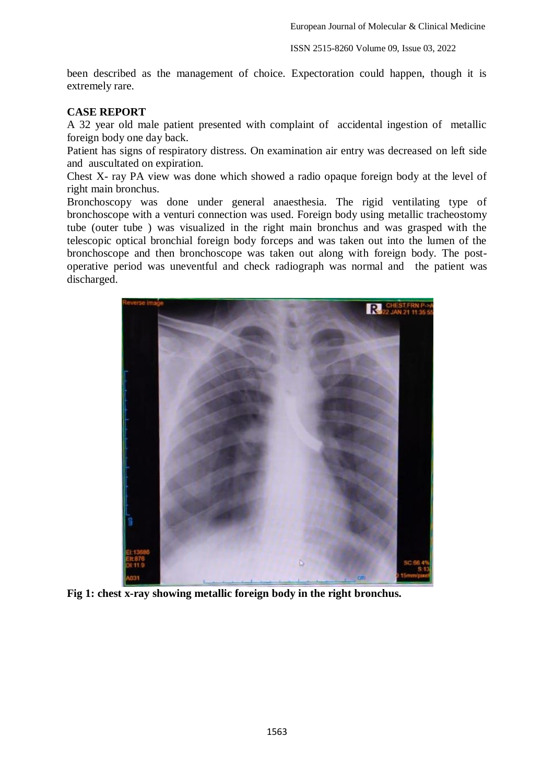ISSN 2515-8260 Volume 09, Issue 03, 2022

been described as the management of choice. Expectoration could happen, though it is extremely rare.

#### **CASE REPORT**

A 32 year old male patient presented with complaint of accidental ingestion of metallic foreign body one day back.

Patient has signs of respiratory distress. On examination air entry was decreased on left side and auscultated on expiration.

Chest X- ray PA view was done which showed a radio opaque foreign body at the level of right main bronchus.

Bronchoscopy was done under general anaesthesia. The rigid ventilating type of bronchoscope with a venturi connection was used. Foreign body using metallic tracheostomy tube (outer tube ) was visualized in the right main bronchus and was grasped with the telescopic optical bronchial foreign body forceps and was taken out into the lumen of the bronchoscope and then bronchoscope was taken out along with foreign body. The postoperative period was uneventful and check radiograph was normal and the patient was discharged.



**Fig 1: chest x-ray showing metallic foreign body in the right bronchus.**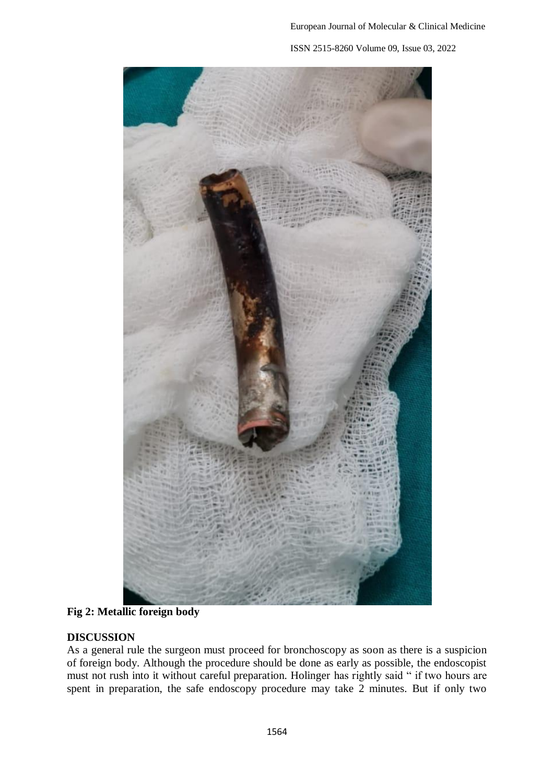ISSN 2515-8260 Volume 09, Issue 03, 2022



**Fig 2: Metallic foreign body**

## **DISCUSSION**

As a general rule the surgeon must proceed for bronchoscopy as soon as there is a suspicion of foreign body. Although the procedure should be done as early as possible, the endoscopist must not rush into it without careful preparation. Holinger has rightly said " if two hours are spent in preparation, the safe endoscopy procedure may take 2 minutes. But if only two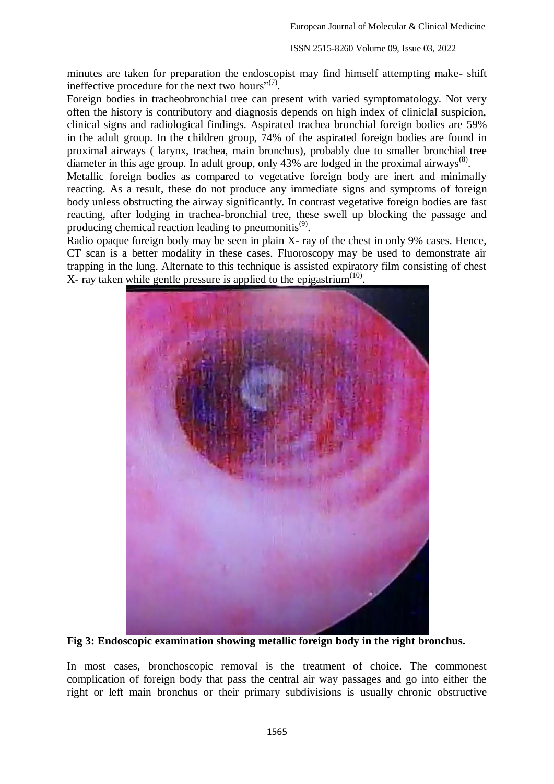minutes are taken for preparation the endoscopist may find himself attempting make- shift ineffective procedure for the next two hours" $(7)$ .

Foreign bodies in tracheobronchial tree can present with varied symptomatology. Not very often the history is contributory and diagnosis depends on high index of cliniclal suspicion, clinical signs and radiological findings. Aspirated trachea bronchial foreign bodies are 59% in the adult group. In the children group, 74% of the aspirated foreign bodies are found in proximal airways ( larynx, trachea, main bronchus), probably due to smaller bronchial tree diameter in this age group. In adult group, only 43% are lodged in the proximal airways<sup>(8)</sup>.

Metallic foreign bodies as compared to vegetative foreign body are inert and minimally reacting. As a result, these do not produce any immediate signs and symptoms of foreign body unless obstructing the airway significantly. In contrast vegetative foreign bodies are fast reacting, after lodging in trachea-bronchial tree, these swell up blocking the passage and producing chemical reaction leading to pneumonitis<sup>(9)</sup>.

Radio opaque foreign body may be seen in plain X- ray of the chest in only 9% cases. Hence, CT scan is a better modality in these cases. Fluoroscopy may be used to demonstrate air trapping in the lung. Alternate to this technique is assisted expiratory film consisting of chest  $X$ - ray taken while gentle pressure is applied to the epigastrium<sup> $(10)$ </sup>.



**Fig 3: Endoscopic examination showing metallic foreign body in the right bronchus.**

In most cases, bronchoscopic removal is the treatment of choice. The commonest complication of foreign body that pass the central air way passages and go into either the right or left main bronchus or their primary subdivisions is usually chronic obstructive